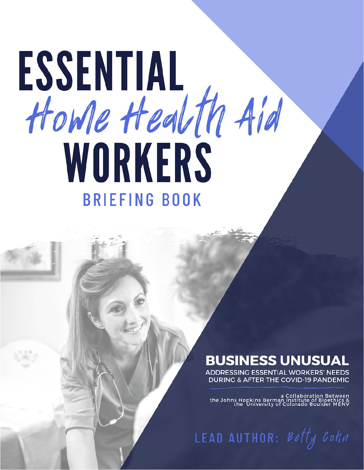# ESSENTIAL Howe Health Aid WORKERS **BRIEFING BOOK**

## **BUSINESS UNUSUAL**

**ADDRESSING ESSENTIAL WORKERS' NEEDS DURING & AFTER THE COVID-19 PANDEMIC** 

a Collaboration Between<br>& a Collaboration Between<br>the University of Colorado Boulder MENV

LEAD AUTHOR: Betty Cohn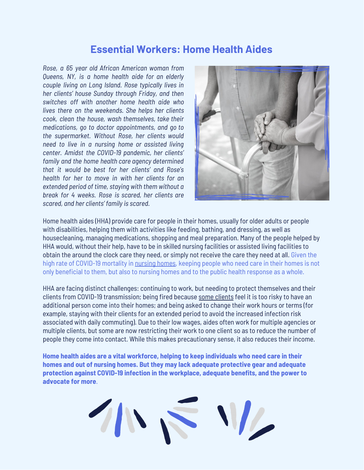### **Essential Workers: Home Health Aides**

*Rose, a 65 year old African American woman from Queens, NY, is a home health aide for an elderly couple living on Long Island. Rose typically lives in her clients' house Sunday through Friday, and then switches off with another home health aide who lives there on the weekends. She helps her clients cook, clean the house, wash themselves, take their medications, go to doctor appointments, and go to the supermarket. Without Rose, her clients would need to live in a nursing home or assisted living center. Amidst the COVID-19 pandemic, her clients' family and the home health care agency determined that it would be best for her clients' and Rose's health for her to move in with her clients for an extended period of time, staying with them without a break for 4 weeks. Rose is scared, her clients are scared, and her clients' family is scared.*



Home health aides (HHA) provide care for people in their homes, usually for older adults or people with disabilities, helping them with activities like feeding, bathing, and dressing, as well as housecleaning, managing medications, shopping and meal preparation. Many of the people helped by HHA would, without their help, have to be in skilled nursing facilities or assisted living facilities to obtain the around the clock care they need, or simply not receive the care they need at all. Given the high rate of COVID-19 mortality in [nursing](https://www.infectioncontroltoday.com/covid-19/when-covid-19-knocks-nursing-homes-doors-systemic-problems-welcome-it) homes, keeping people who need care in their homes is not only beneficial to them, but also to nursing homes and to the public health response as a whole.

HHA are facing distinct challenges: continuing to work, but needing to protect themselves and their clients from COVID-19 transmission; being fired because some [clients](https://www.nytimes.com/2020/03/22/nyregion/coronavirus-caregivers-nyc.html) feel it is too risky to have an additional person come into their homes; and being asked to change their work hours or terms (for example, staying with their clients for an extended period to avoid the increased infection risk associated with daily commuting). Due to their low wages, aides often work for multiple agencies or multiple clients, but some are now restricting their work to one client so as to reduce the number of people they come into contact. While this makes precautionary sense, it also reduces their income.

**Home health aides are a vital workforce, helping to keep individuals who need care in their homes and out of nursing homes. But they may lack adequate protective gear and adequate protection against COVID-19 infection in the workplace, adequate benefits, and the power to advocate for more**.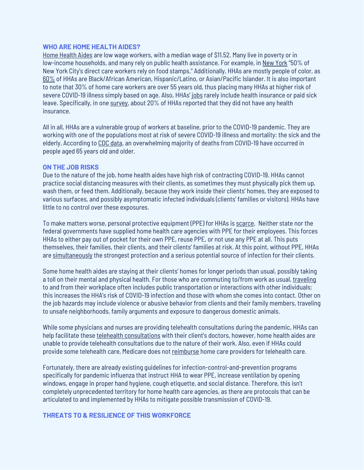#### **WHO ARE HOME HEALTH AIDES?**

Home [Health](https://phinational.org/caringforthefuture/itstimetocare/) Aides are low wage workers, with a median wage of \$11.52. Many live in poverty or in low-income households, and many rely on public health assistance. For example, in New [York](https://www.nytimes.com/2020/03/22/nyregion/coronavirus-caregivers-nyc.html) "50% of New York City's direct care workers rely on food stamps." Additionally, HHAs are mostly people of color, as [60%](https://phinational.org/caringforthefuture/itstimetocare/) of HHAs are Black/African American, Hispanic/Latino, or Asian/Pacific Islander. It is also important to note that 30% of home care workers are over 55 years old, thus placing many HHAs at higher risk of severe COVID-19 illness simply based on age. Also, HHAs' [job](https://www.cnbc.com/2020/04/14/home-health-care-workers-at-tipping-point-amid-coronavirus-outbreak.html)s rarely include health insurance or paid sick leave. Specifically, in one [survey,](https://www.forbes.com/sites/howardgleckman/2020/04/16/home-care-agencies-and-workers-are-the-next-ground-zero-for-covid-19/#5d4db6e76f05) about 20% of HHAs reported that they did not have any health insurance.

All in all, HHAs are a vulnerable group of workers at baseline, prior to the COVID-19 pandemic. They are working with one of the populations most at risk of severe COVID-19 illness and mortality: the sick and the elderly. According to CDC [data,](https://www.cdc.gov/nchs/nvss/vsrr/covid_weekly/index.htm#AgeAndSex) an overwhelming majority of deaths from COVID-19 have occurred in people aged 65 years old and older.

#### **ON THE JOB RISKS**

Due to the nature of the job, home health aides have high risk of contracting COVID-19. HHAs cannot practice social distancing measures with their clients, as sometimes they must physically pick them up, wash them, or feed them. Additionally, because they work inside their clients' homes, they are exposed to various surfaces, and possibly asymptomatic infected individuals (clients' families or visitors). HHAs have little to no control over these exposures.

To make matters worse, personal protective equipment (PPE) for HHAs is [scarce.](https://www.cbsnews.com/news/home-health-care-workers-are-taking-care-of-americas-most-vulnerable-and-theyre-doing-it-without-ppe/) Neither state nor the federal governments have supplied home health care agencies with PPE for their employees. This forces HHAs to either pay out of pocket for their own PPE, reuse PPE, or not use any PPE at all. This puts themselves, their families, their clients, and their clients' families at risk. At this point, without PPE, HHAs are [simultaneously](https://www.nytimes.com/2020/03/22/nyregion/coronavirus-caregivers-nyc.html) the strongest protection and a serious potential source of infection for their clients.

Some home health aides are staying at their clients' homes for longer periods than usual, possibly taking a toll on their mental and physical health. For those who are commuting to/from work as usual, [traveling](https://www.cdc.gov/niosh/docs/2010-125/pdfs/2010-125.pdf) to and from their workplace often includes public transportation or interactions with other individuals; this increases the HHA's risk of COVID-19 infection and those with whom she comes into contact. Other on the job hazards may include violence or abusive behavior from clients and their family members, traveling to unsafe neighborhoods, family arguments and exposure to dangerous domestic animals.

While some physicians and nurses are providing telehealth consultations during the pandemic, HHAs can help facilitate these telehealth [consultations](https://www.cnbc.com/2020/04/14/home-health-care-workers-at-tipping-point-amid-coronavirus-outbreak.html) with their client's doctors, however, home health aides are unable to provide telehealth consultations due to the nature of their work. Also, even if HHAs could provide some telehealth care, Medicare does not [reimburse](https://www.motherjones.com/politics/2020/03/home-health-care-workers-coronavirus/) home care providers for telehealth care.

Fortunately, there are already existing guidelines for infection-control-and-prevention programs specifically for pandemic influenza that instruct HHA to wear PPE, increase ventilation by opening windows, engage in proper hand hygiene, cough etiquette, and social distance. Therefore, this isn't completely unprecedented territory for home health care agencies, as there are protocols that can be articulated to and implemented by HHAs to mitigate possible transmission of COVID-19.

#### **THREATS TO & RESILIENCE OF THIS WORKFORCE**